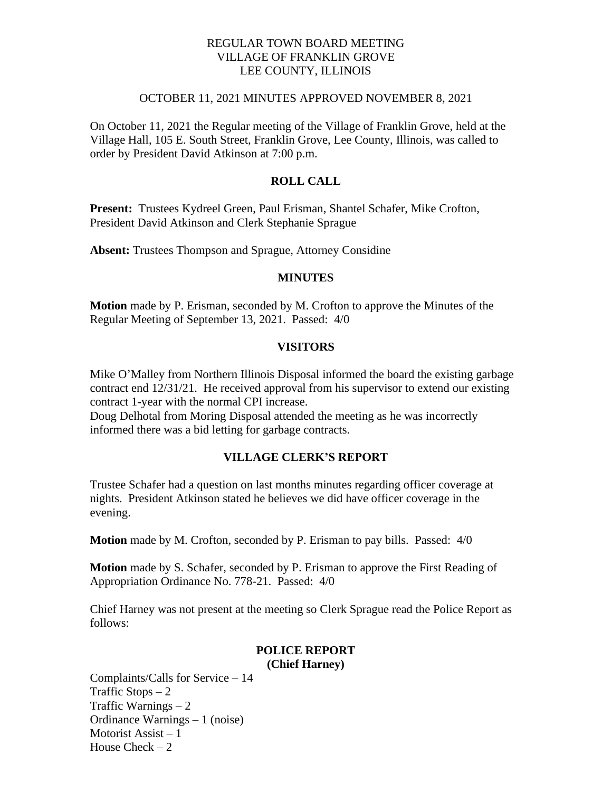## REGULAR TOWN BOARD MEETING VILLAGE OF FRANKLIN GROVE LEE COUNTY, ILLINOIS

#### OCTOBER 11, 2021 MINUTES APPROVED NOVEMBER 8, 2021

On October 11, 2021 the Regular meeting of the Village of Franklin Grove, held at the Village Hall, 105 E. South Street, Franklin Grove, Lee County, Illinois, was called to order by President David Atkinson at 7:00 p.m.

## **ROLL CALL**

**Present:** Trustees Kydreel Green, Paul Erisman, Shantel Schafer, Mike Crofton, President David Atkinson and Clerk Stephanie Sprague

**Absent:** Trustees Thompson and Sprague, Attorney Considine

### **MINUTES**

**Motion** made by P. Erisman, seconded by M. Crofton to approve the Minutes of the Regular Meeting of September 13, 2021. Passed: 4/0

### **VISITORS**

Mike O'Malley from Northern Illinois Disposal informed the board the existing garbage contract end 12/31/21. He received approval from his supervisor to extend our existing contract 1-year with the normal CPI increase.

Doug Delhotal from Moring Disposal attended the meeting as he was incorrectly informed there was a bid letting for garbage contracts.

# **VILLAGE CLERK'S REPORT**

Trustee Schafer had a question on last months minutes regarding officer coverage at nights. President Atkinson stated he believes we did have officer coverage in the evening.

**Motion** made by M. Crofton, seconded by P. Erisman to pay bills. Passed: 4/0

**Motion** made by S. Schafer, seconded by P. Erisman to approve the First Reading of Appropriation Ordinance No. 778-21. Passed: 4/0

Chief Harney was not present at the meeting so Clerk Sprague read the Police Report as follows:

#### **POLICE REPORT (Chief Harney)**

Complaints/Calls for Service – 14 Traffic Stops  $-2$ Traffic Warnings  $-2$ Ordinance Warnings – 1 (noise) Motorist Assist – 1 House Check  $-2$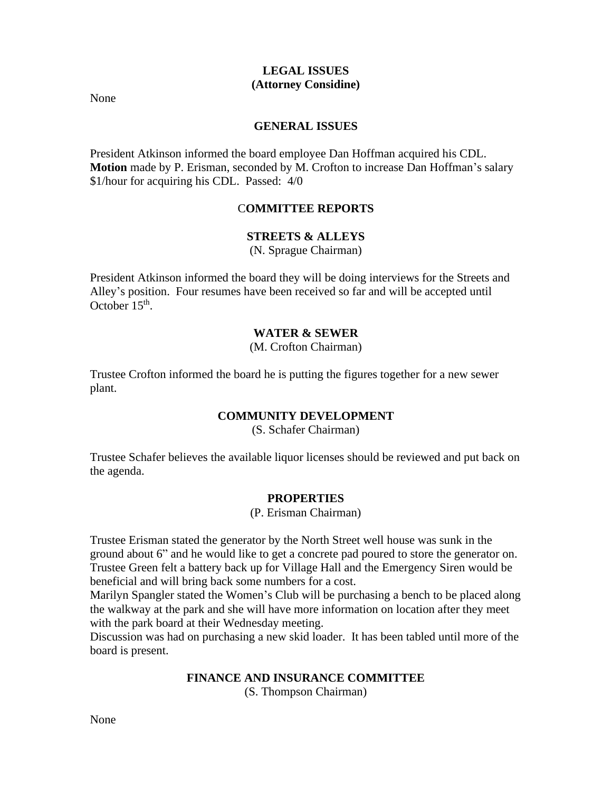### **LEGAL ISSUES (Attorney Considine)**

None

## **GENERAL ISSUES**

President Atkinson informed the board employee Dan Hoffman acquired his CDL. **Motion** made by P. Erisman, seconded by M. Crofton to increase Dan Hoffman's salary \$1/hour for acquiring his CDL. Passed: 4/0

# C**OMMITTEE REPORTS**

## **STREETS & ALLEYS**

(N. Sprague Chairman)

President Atkinson informed the board they will be doing interviews for the Streets and Alley's position. Four resumes have been received so far and will be accepted until October  $15<sup>th</sup>$ .

## **WATER & SEWER**

(M. Crofton Chairman)

Trustee Crofton informed the board he is putting the figures together for a new sewer plant.

## **COMMUNITY DEVELOPMENT**

(S. Schafer Chairman)

Trustee Schafer believes the available liquor licenses should be reviewed and put back on the agenda.

## **PROPERTIES**

(P. Erisman Chairman)

Trustee Erisman stated the generator by the North Street well house was sunk in the ground about 6" and he would like to get a concrete pad poured to store the generator on. Trustee Green felt a battery back up for Village Hall and the Emergency Siren would be beneficial and will bring back some numbers for a cost.

Marilyn Spangler stated the Women's Club will be purchasing a bench to be placed along the walkway at the park and she will have more information on location after they meet with the park board at their Wednesday meeting.

Discussion was had on purchasing a new skid loader. It has been tabled until more of the board is present.

## **FINANCE AND INSURANCE COMMITTEE**

(S. Thompson Chairman)

None